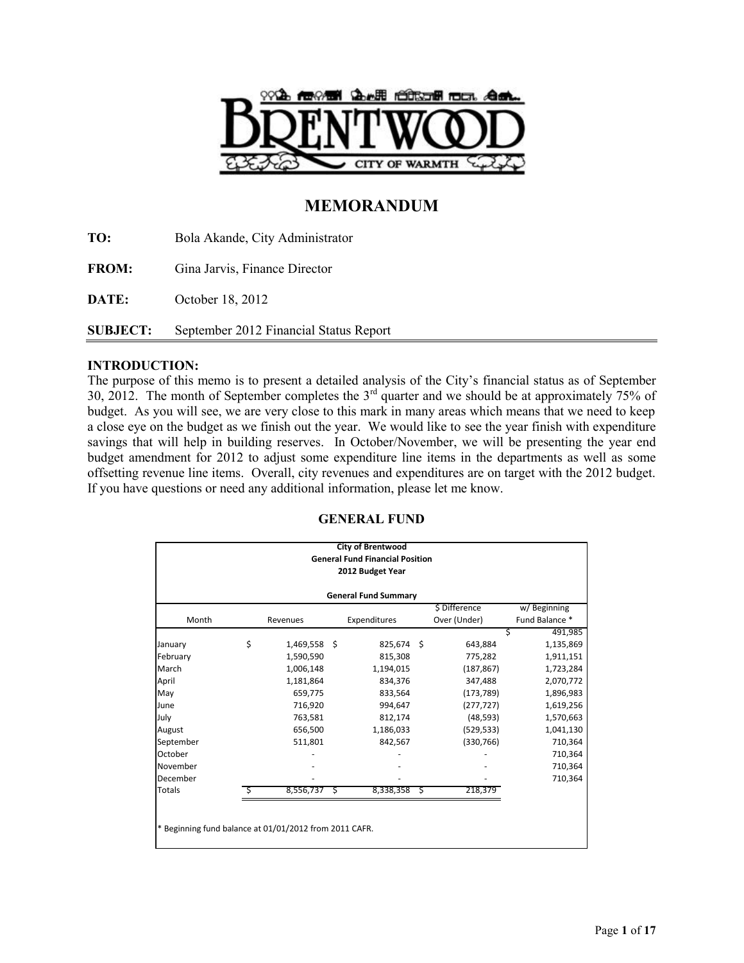

# **MEMORANDUM**

**TO:** Bola Akande, City Administrator **FROM:** Gina Jarvis, Finance Director **DATE:** October 18, 2012 **SUBJECT:** September 2012 Financial Status Report

# **INTRODUCTION:**

The purpose of this memo is to present a detailed analysis of the City's financial status as of September 30, 2012. The month of September completes the  $3<sup>rd</sup>$  quarter and we should be at approximately 75% of budget. As you will see, we are very close to this mark in many areas which means that we need to keep a close eye on the budget as we finish out the year. We would like to see the year finish with expenditure savings that will help in building reserves. In October/November, we will be presenting the year end budget amendment for 2012 to adjust some expenditure line items in the departments as well as some offsetting revenue line items. Overall, city revenues and expenditures are on target with the 2012 budget. If you have questions or need any additional information, please let me know.

# **GENERAL FUND**

|                                                        | <b>City of Brentwood</b><br><b>General Fund Financial Position</b><br>2012 Budget Year |           |   |              |   |               |                |  |
|--------------------------------------------------------|----------------------------------------------------------------------------------------|-----------|---|--------------|---|---------------|----------------|--|
| <b>General Fund Summary</b>                            |                                                                                        |           |   |              |   |               |                |  |
|                                                        |                                                                                        |           |   |              |   | \$ Difference | w/Beginning    |  |
| Month                                                  |                                                                                        | Revenues  |   | Expenditures |   | Over (Under)  | Fund Balance * |  |
|                                                        |                                                                                        |           |   |              |   |               | Ś<br>491,985   |  |
| January                                                | \$                                                                                     | 1,469,558 | Ŝ | 825,674 \$   |   | 643,884       | 1,135,869      |  |
| February                                               |                                                                                        | 1,590,590 |   | 815,308      |   | 775,282       | 1,911,151      |  |
| March                                                  |                                                                                        | 1,006,148 |   | 1,194,015    |   | (187, 867)    | 1,723,284      |  |
| April                                                  |                                                                                        | 1,181,864 |   | 834,376      |   | 347,488       | 2,070,772      |  |
| May                                                    |                                                                                        | 659,775   |   | 833,564      |   | (173, 789)    | 1,896,983      |  |
| June                                                   |                                                                                        | 716,920   |   | 994,647      |   | (277, 727)    | 1,619,256      |  |
| July                                                   |                                                                                        | 763,581   |   | 812,174      |   | (48, 593)     | 1,570,663      |  |
| August                                                 |                                                                                        | 656,500   |   | 1,186,033    |   | (529, 533)    | 1,041,130      |  |
| September                                              |                                                                                        | 511,801   |   | 842,567      |   | (330, 766)    | 710,364        |  |
| October                                                |                                                                                        |           |   |              |   |               | 710,364        |  |
| November                                               |                                                                                        |           |   |              |   |               | 710,364        |  |
| December                                               |                                                                                        |           |   |              |   |               | 710,364        |  |
| <b>Totals</b>                                          | S                                                                                      | 8,556,737 | S | 8,338,358    | S | 218,379       |                |  |
|                                                        |                                                                                        |           |   |              |   |               |                |  |
|                                                        |                                                                                        |           |   |              |   |               |                |  |
| * Beginning fund balance at 01/01/2012 from 2011 CAFR. |                                                                                        |           |   |              |   |               |                |  |
|                                                        |                                                                                        |           |   |              |   |               |                |  |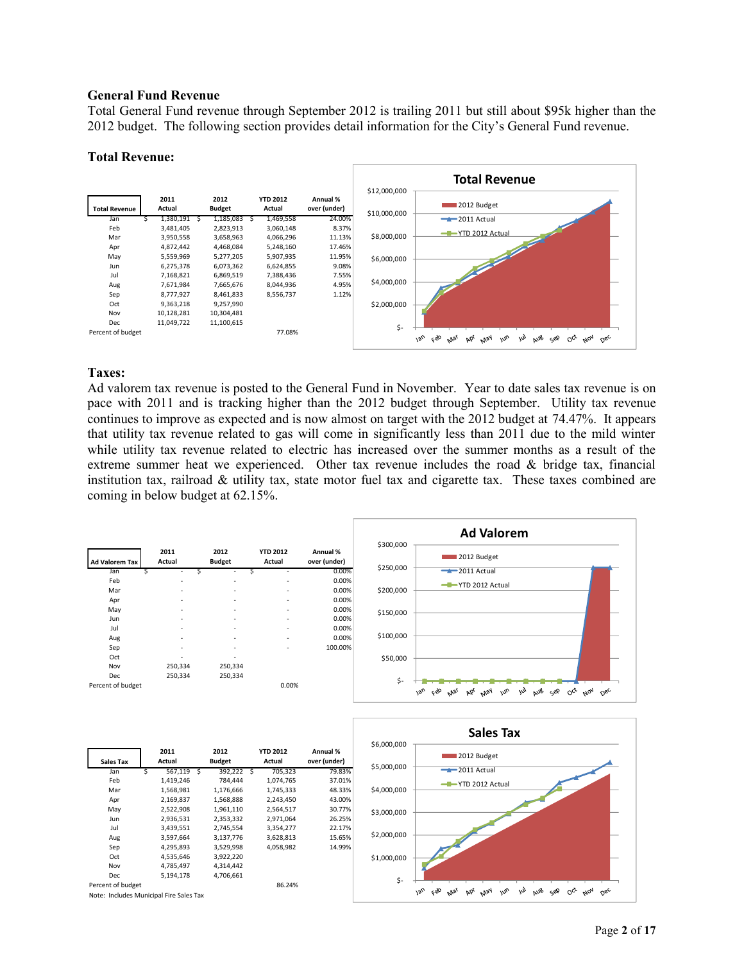#### **General Fund Revenue**

Total General Fund revenue through September 2012 is trailing 2011 but still about \$95k higher than the 2012 budget. The following section provides detail information for the City's General Fund revenue.

#### **Total Revenue:**



#### **Taxes:**

Ad valorem tax revenue is posted to the General Fund in November. Year to date sales tax revenue is on pace with 2011 and is tracking higher than the 2012 budget through September. Utility tax revenue continues to improve as expected and is now almost on target with the 2012 budget at 74.47%. It appears that utility tax revenue related to gas will come in significantly less than 2011 due to the mild winter while utility tax revenue related to electric has increased over the summer months as a result of the extreme summer heat we experienced. Other tax revenue includes the road & bridge tax, financial institution tax, railroad & utility tax, state motor fuel tax and cigarette tax. These taxes combined are coming in below budget at 62.15%.

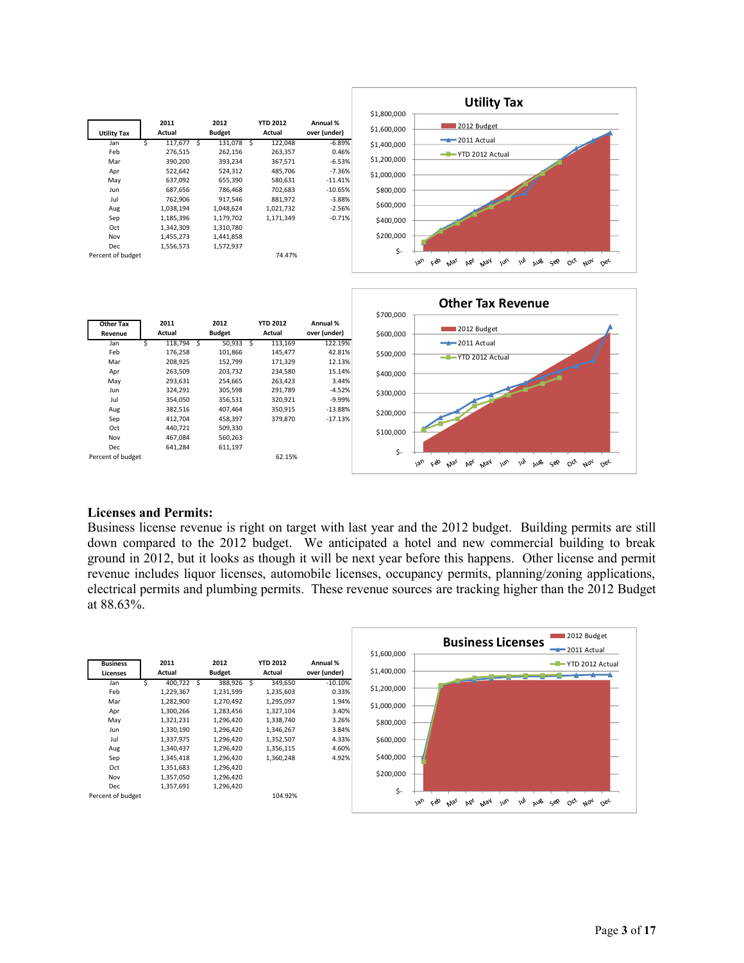



#### **Licenses and Permits:**

Business license revenue is right on target with last year and the 2012 budget. Building permits are still down compared to the 2012 budget. We anticipated a hotel and new commercial building to break ground in 2012, but it looks as though it will be next year before this happens. Other license and permit revenue includes liquor licenses, automobile licenses, occupancy permits, planning/zoning applications, electrical permits and plumbing permits. These revenue sources are tracking higher than the 2012 Budget at 88.63%.

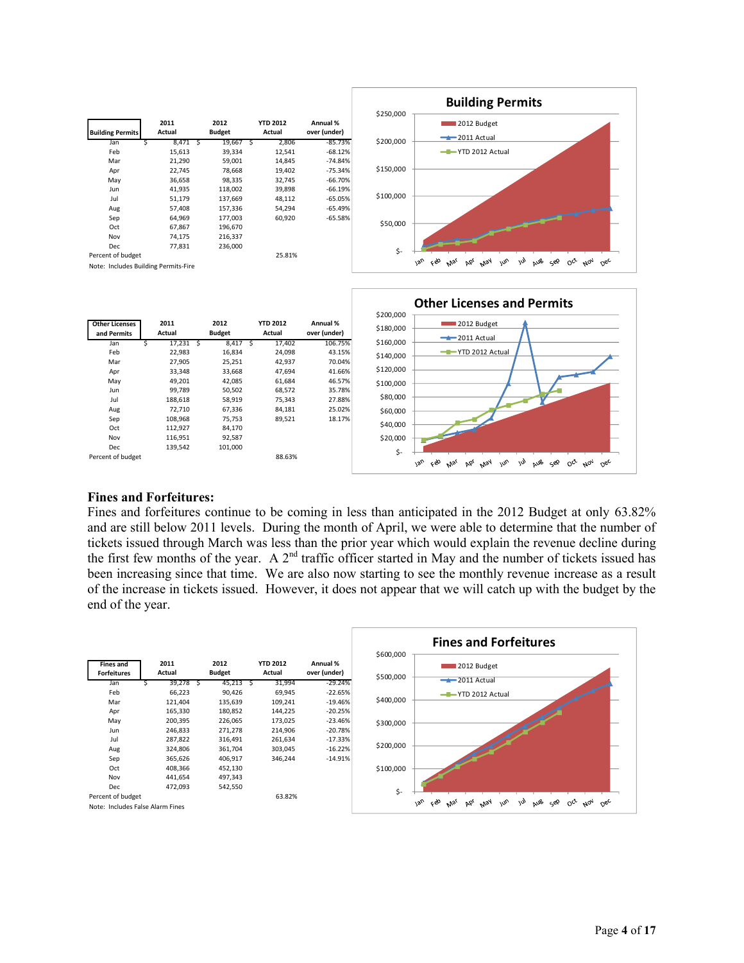



#### **Fines and Forfeitures:**

Fines and forfeitures continue to be coming in less than anticipated in the 2012 Budget at only 63.82% and are still below 2011 levels. During the month of April, we were able to determine that the number of tickets issued through March was less than the prior year which would explain the revenue decline during the first few months of the year. A  $2<sup>nd</sup>$  traffic officer started in May and the number of tickets issued has been increasing since that time. We are also now starting to see the monthly revenue increase as a result of the increase in tickets issued. However, it does not appear that we will catch up with the budget by the end of the year.

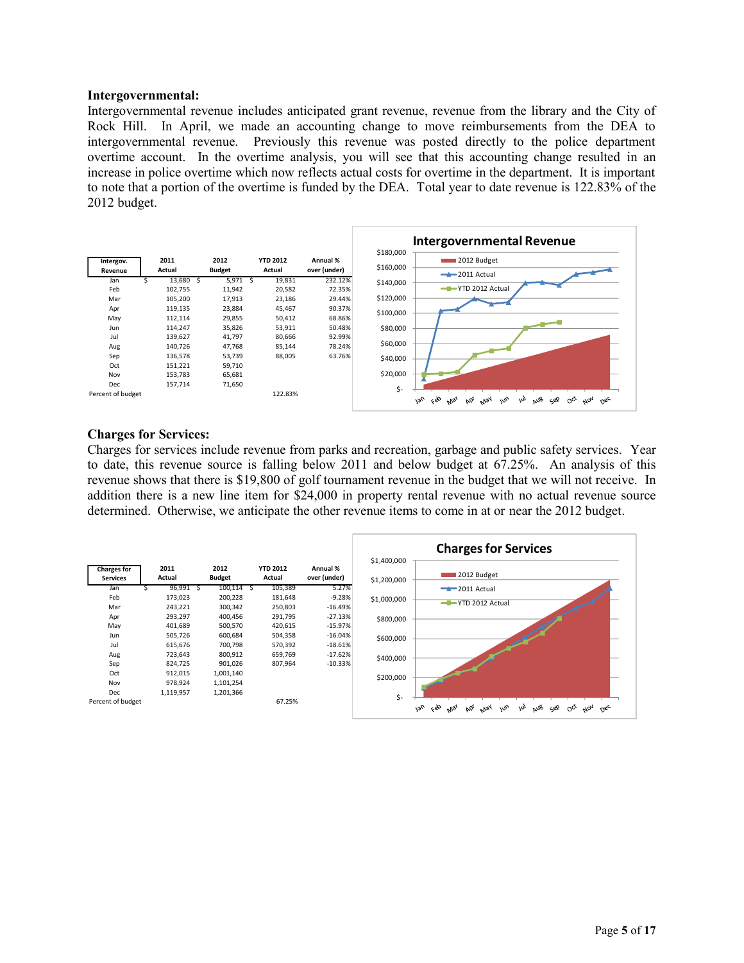#### **Intergovernmental:**

Intergovernmental revenue includes anticipated grant revenue, revenue from the library and the City of Rock Hill. In April, we made an accounting change to move reimbursements from the DEA to intergovernmental revenue. Previously this revenue was posted directly to the police department overtime account. In the overtime analysis, you will see that this accounting change resulted in an increase in police overtime which now reflects actual costs for overtime in the department. It is important to note that a portion of the overtime is funded by the DEA. Total year to date revenue is 122.83% of the 2012 budget.



#### **Charges for Services:**

Charges for services include revenue from parks and recreation, garbage and public safety services. Year to date, this revenue source is falling below 2011 and below budget at 67.25%. An analysis of this revenue shows that there is \$19,800 of golf tournament revenue in the budget that we will not receive. In addition there is a new line item for \$24,000 in property rental revenue with no actual revenue source determined. Otherwise, we anticipate the other revenue items to come in at or near the 2012 budget.

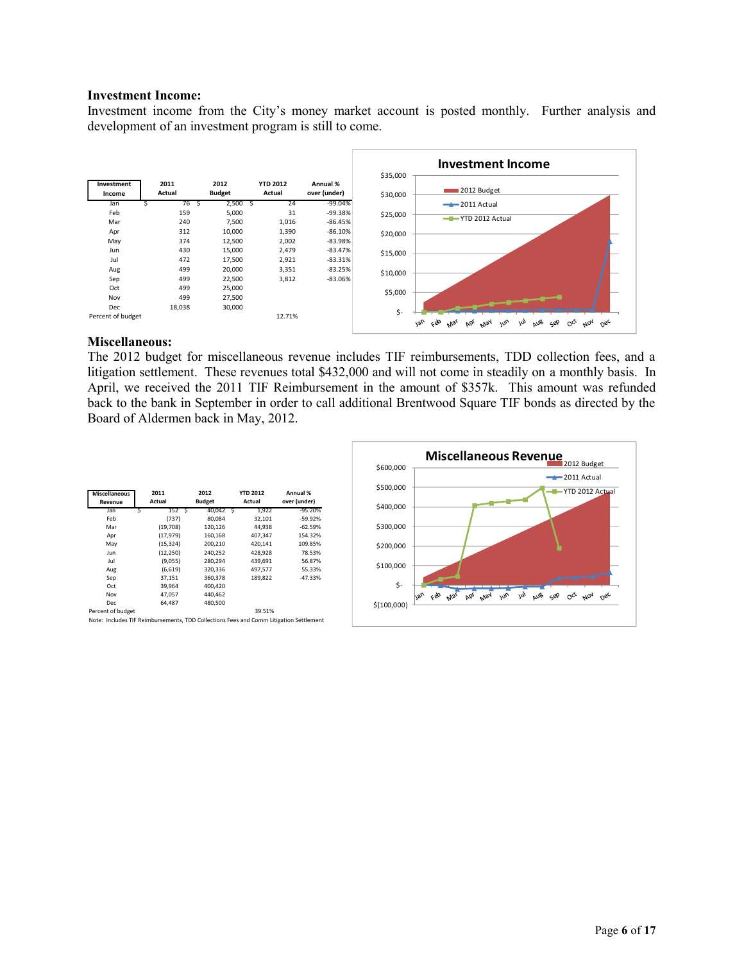#### **Investment Income:**

Investment income from the City's money market account is posted monthly. Further analysis and development of an investment program is still to come.



#### **Miscellaneous:**

The 2012 budget for miscellaneous revenue includes TIF reimbursements, TDD collection fees, and a litigation settlement. These revenues total \$432,000 and will not come in steadily on a monthly basis. In April, we received the 2011 TIF Reimbursement in the amount of \$357k. This amount was refunded back to the bank in September in order to call additional Brentwood Square TIF bonds as directed by the Board of Aldermen back in May, 2012.

| <b>Miscellaneous</b><br>Revenue | 2011<br>Actual | 2012<br><b>Budget</b> | <b>YTD 2012</b><br>Actual | Annual %<br>over (under) |
|---------------------------------|----------------|-----------------------|---------------------------|--------------------------|
| Jan<br>S                        | 152 S          | 40.042 S              | 1.922                     | $-95.20%$                |
| Feb                             | (737)          | 80.084                | 32,101                    | $-59.92%$                |
| Mar                             | (19,708)       | 120,126               | 44,938                    | $-62.59%$                |
| Apr                             | (17, 979)      | 160,168               | 407,347                   | 154.32%                  |
| May                             | (15,324)       | 200,210               | 420,141                   | 109.85%                  |
| Jun                             | (12, 250)      | 240,252               | 428,928                   | 78.53%                   |
| Jul                             | (9,055)        | 280,294               | 439.691                   | 56.87%                   |
| Aug                             | (6,619)        | 320,336               | 497,577                   | 55.33%                   |
| Sep                             | 37,151         | 360,378               | 189,822                   | $-47.33%$                |
| Oct                             | 39,964         | 400,420               |                           |                          |
| Nov                             | 47.057         | 440,462               |                           |                          |
| <b>Dec</b>                      | 64.487         | 480,500               |                           |                          |
| Percent of budget               |                |                       | 39.51%                    |                          |

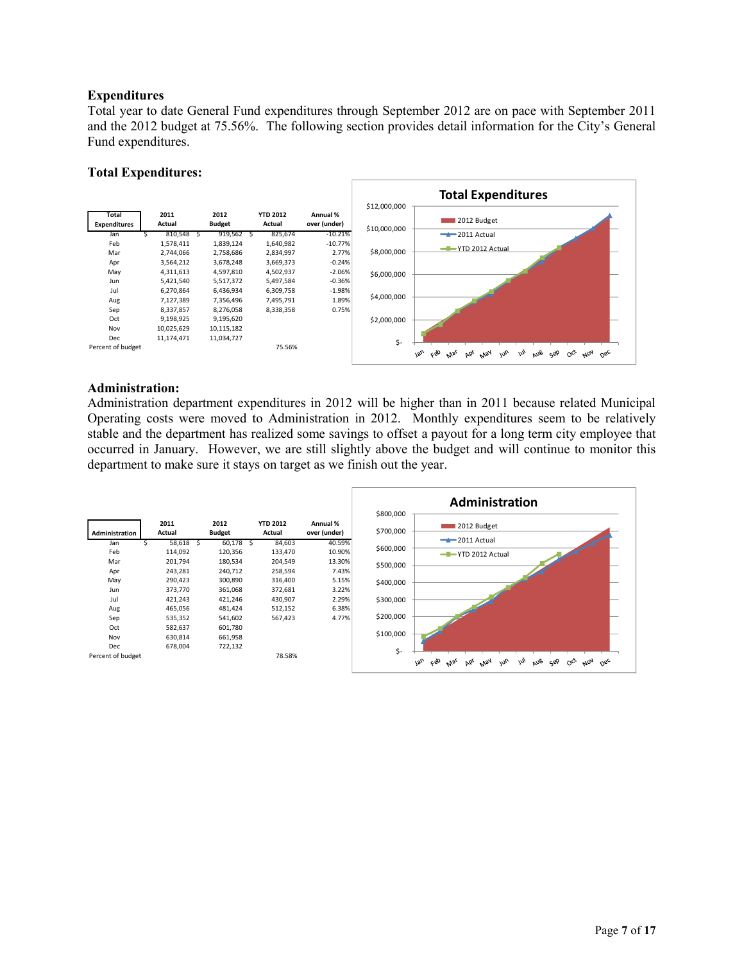## **Expenditures**

Total year to date General Fund expenditures through September 2012 are on pace with September 2011 and the 2012 budget at 75.56%. The following section provides detail information for the City's General Fund expenditures.

#### **Total Expenditures:**



## **Administration:**

Administration department expenditures in 2012 will be higher than in 2011 because related Municipal Operating costs were moved to Administration in 2012. Monthly expenditures seem to be relatively stable and the department has realized some savings to offset a payout for a long term city employee that occurred in January. However, we are still slightly above the budget and will continue to monitor this department to make sure it stays on target as we finish out the year.

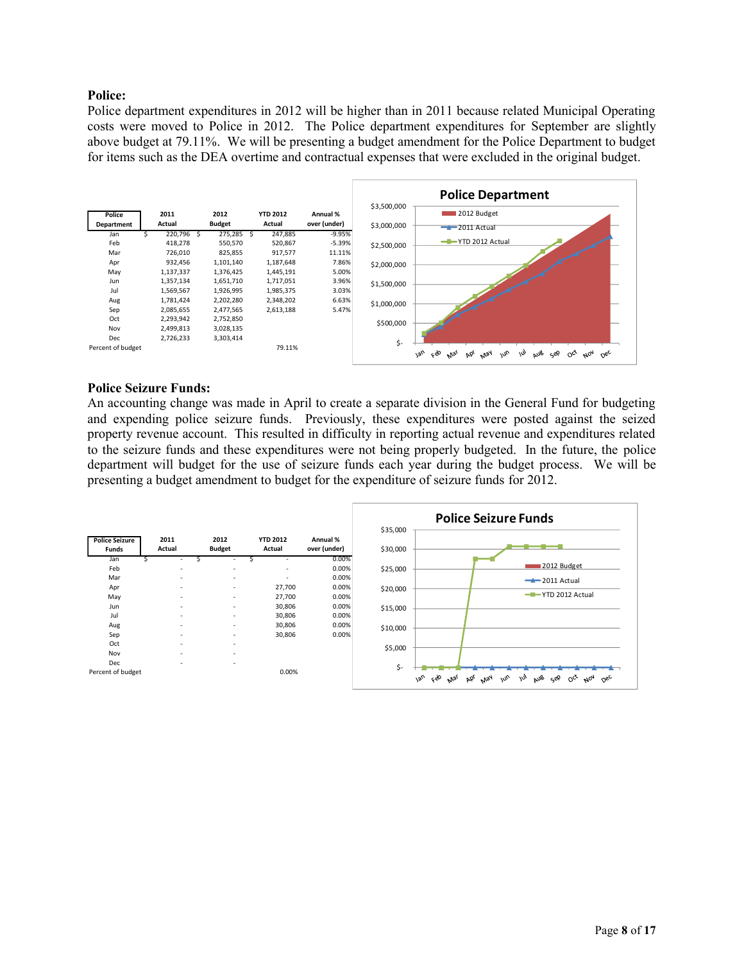## **Police:**

Police department expenditures in 2012 will be higher than in 2011 because related Municipal Operating costs were moved to Police in 2012. The Police department expenditures for September are slightly above budget at 79.11%. We will be presenting a budget amendment for the Police Department to budget for items such as the DEA overtime and contractual expenses that were excluded in the original budget.



#### **Police Seizure Funds:**

An accounting change was made in April to create a separate division in the General Fund for budgeting and expending police seizure funds. Previously, these expenditures were posted against the seized property revenue account. This resulted in difficulty in reporting actual revenue and expenditures related to the seizure funds and these expenditures were not being properly budgeted. In the future, the police department will budget for the use of seizure funds each year during the budget process. We will be presenting a budget amendment to budget for the expenditure of seizure funds for 2012.

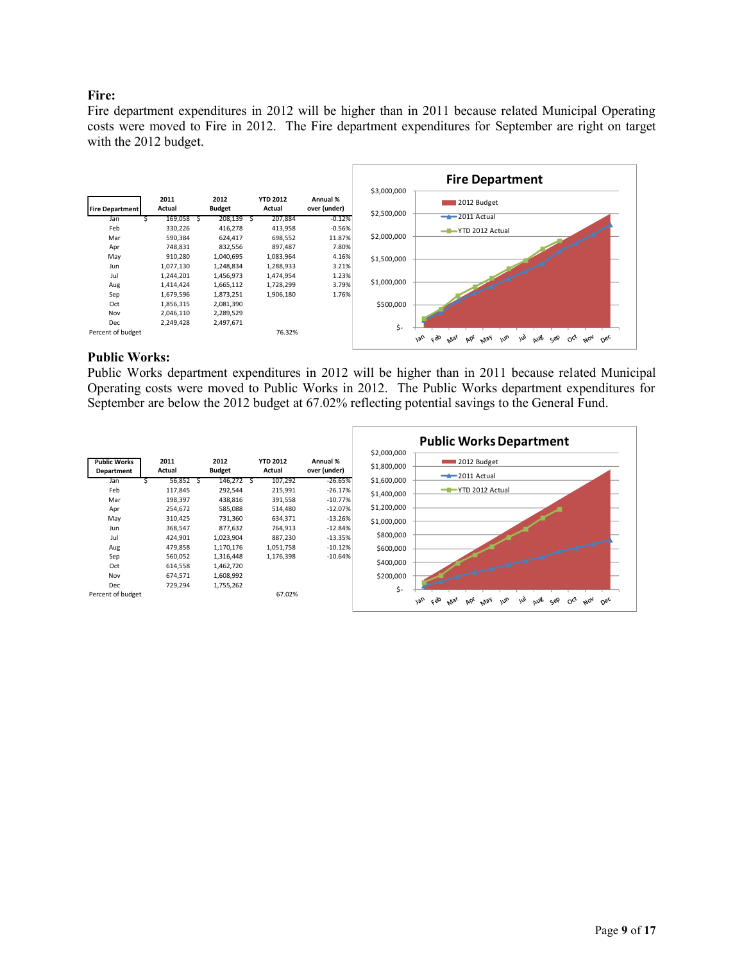# **Fire:**

Fire department expenditures in 2012 will be higher than in 2011 because related Municipal Operating costs were moved to Fire in 2012. The Fire department expenditures for September are right on target with the 2012 budget.



#### **Public Works:**

Public Works department expenditures in 2012 will be higher than in 2011 because related Municipal Operating costs were moved to Public Works in 2012. The Public Works department expenditures for September are below the 2012 budget at 67.02% reflecting potential savings to the General Fund.

|                                   |                |   |                       |                           |                          |                            | <b>Public Works Department</b>                                                                                                                           |
|-----------------------------------|----------------|---|-----------------------|---------------------------|--------------------------|----------------------------|----------------------------------------------------------------------------------------------------------------------------------------------------------|
| <b>Public Works</b><br>Department | 2011<br>Actual |   | 2012<br><b>Budget</b> | <b>YTD 2012</b><br>Actual | Annual %<br>over (under) | \$2,000,000<br>\$1,800,000 | 2012 Budget<br>$-2011$ Actual                                                                                                                            |
| Jan                               | 56,852         | s | 146,272 \$            | 107,292                   | $-26.65%$                | \$1,600,000                |                                                                                                                                                          |
| Feb                               | 117,845        |   | 292,544               | 215,991                   | $-26.17%$                | \$1,400,000                | -T-YTD 2012 Actual                                                                                                                                       |
| Mar                               | 198,397        |   | 438,816               | 391,558                   | $-10.77%$                |                            |                                                                                                                                                          |
| Apr                               | 254,672        |   | 585,088               | 514,480                   | $-12.07%$                | \$1,200,000                |                                                                                                                                                          |
| May                               | 310,425        |   | 731,360               | 634,371                   | $-13.26%$                | \$1,000,000                |                                                                                                                                                          |
| Jun                               | 368,547        |   | 877,632               | 764,913                   | $-12.84%$                |                            |                                                                                                                                                          |
| Jul                               | 424,901        |   | 1,023,904             | 887,230                   | $-13.35%$                | \$800,000                  |                                                                                                                                                          |
| Aug                               | 479,858        |   | 1,170,176             | 1,051,758                 | $-10.12%$                | \$600,000                  |                                                                                                                                                          |
| Sep                               | 560,052        |   | 1,316,448             | 1,176,398                 | $-10.64%$                |                            |                                                                                                                                                          |
| Oct                               | 614,558        |   | 1,462,720             |                           |                          | \$400,000                  |                                                                                                                                                          |
| Nov                               | 674,571        |   | 1,608,992             |                           |                          | \$200,000                  |                                                                                                                                                          |
| Dec                               | 729,294        |   | 1,755,262             |                           |                          | \$-                        |                                                                                                                                                          |
| Percent of budget                 |                |   |                       | 67.02%                    |                          |                            | $v_{\alpha}$<br>eso<br>aus<br>$\omega_{\nu}$<br>$\circ^{\circ}$<br>$\mu_{Oq}$<br><b>May</b><br>ゕ<br>$O_{6c}$<br>جون<br>bb <sub>e</sub><br>M <sub>3</sub> |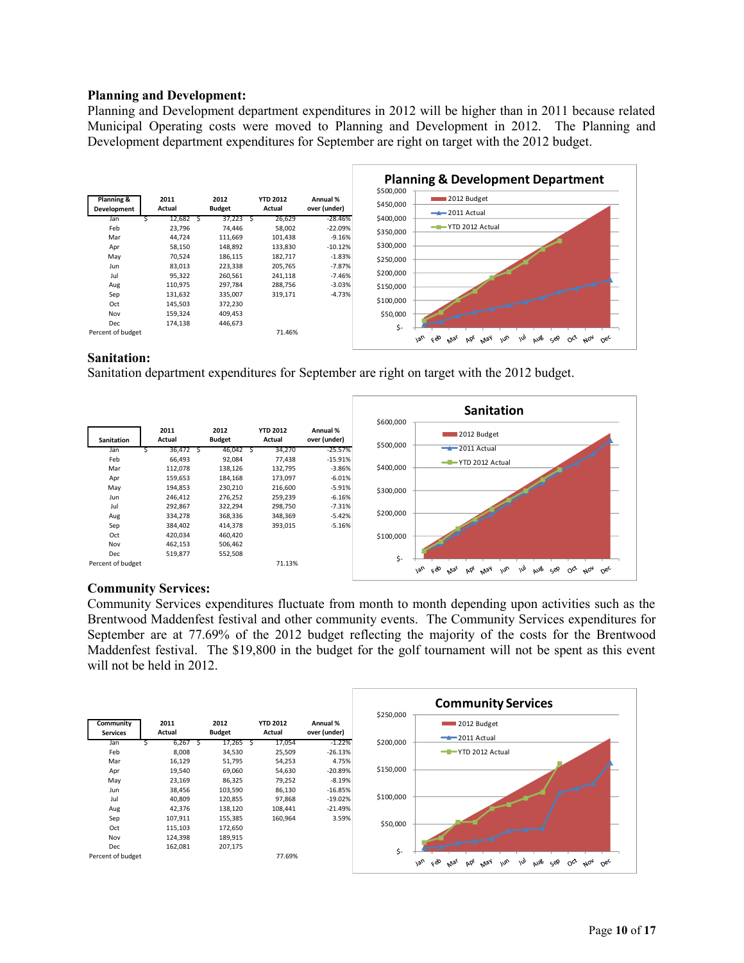#### **Planning and Development:**

Planning and Development department expenditures in 2012 will be higher than in 2011 because related Municipal Operating costs were moved to Planning and Development in 2012. The Planning and Development department expenditures for September are right on target with the 2012 budget.



## **Sanitation:**

Sanitation department expenditures for September are right on target with the 2012 budget.



# **Community Services:**

Community Services expenditures fluctuate from month to month depending upon activities such as the Brentwood Maddenfest festival and other community events. The Community Services expenditures for September are at 77.69% of the 2012 budget reflecting the majority of the costs for the Brentwood Maddenfest festival. The \$19,800 in the budget for the golf tournament will not be spent as this event will not be held in 2012.

|                              |                |   |                       |    |                           |                          |           | <b>Community Services</b>                                                                                                         |
|------------------------------|----------------|---|-----------------------|----|---------------------------|--------------------------|-----------|-----------------------------------------------------------------------------------------------------------------------------------|
| Community<br><b>Services</b> | 2011<br>Actual |   | 2012<br><b>Budget</b> |    | <b>YTD 2012</b><br>Actual | Annual %<br>over (under) | \$250,000 | 2012 Budget<br>$-2011$ Actual                                                                                                     |
| Jan                          | 6,267          | S | 17,265                | -S | 17,054                    | $-1.22%$                 | \$200,000 |                                                                                                                                   |
| Feb                          | 8,008          |   | 34,530                |    | 25,509                    | $-26.13%$                |           | -T-YTD 2012 Actual                                                                                                                |
| Mar                          | 16,129         |   | 51,795                |    | 54,253                    | 4.75%                    |           |                                                                                                                                   |
| Apr                          | 19,540         |   | 69,060                |    | 54,630                    | $-20.89%$                | \$150,000 |                                                                                                                                   |
| May                          | 23,169         |   | 86,325                |    | 79,252                    | $-8.19%$                 |           |                                                                                                                                   |
| Jun                          | 38,456         |   | 103,590               |    | 86,130                    | $-16.85%$                |           |                                                                                                                                   |
| Jul                          | 40,809         |   | 120,855               |    | 97,868                    | $-19.02%$                | \$100,000 |                                                                                                                                   |
| Aug                          | 42,376         |   | 138,120               |    | 108,441                   | $-21.49%$                |           |                                                                                                                                   |
| Sep                          | 107,911        |   | 155,385               |    | 160,964                   | 3.59%                    |           |                                                                                                                                   |
| Oct                          | 115,103        |   | 172,650               |    |                           |                          | \$50,000  |                                                                                                                                   |
| Nov                          | 124,398        |   | 189,915               |    |                           |                          |           |                                                                                                                                   |
| Dec                          | 162,081        |   | 207,175               |    |                           |                          | \$-       |                                                                                                                                   |
| Percent of budget            |                |   |                       |    | 77.69%                    |                          |           | $\omega$<br>œ,<br>$\omega_{\nu}$<br>AUB<br><b>Van</b><br><b>May</b><br>Sep<br>$O^{c^{\chi}}$<br>$A_{07}$<br>AP<br>$O_{6c}$<br>Mar |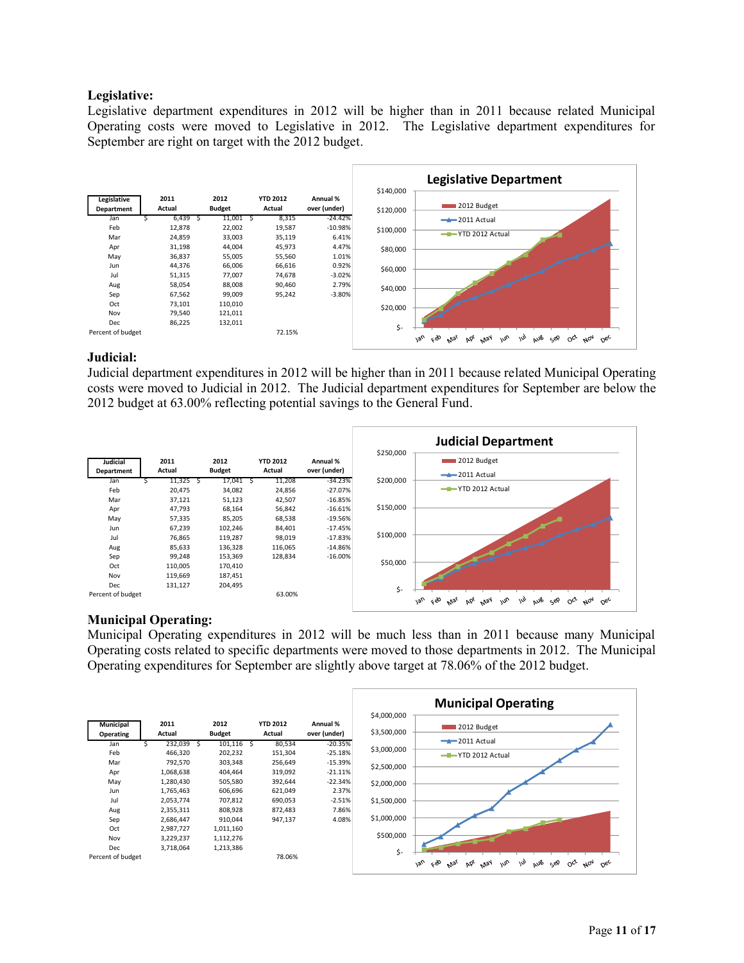## **Legislative:**

Legislative department expenditures in 2012 will be higher than in 2011 because related Municipal Operating costs were moved to Legislative in 2012. The Legislative department expenditures for September are right on target with the 2012 budget.



## **Judicial:**

Judicial department expenditures in 2012 will be higher than in 2011 because related Municipal Operating costs were moved to Judicial in 2012. The Judicial department expenditures for September are below the 2012 budget at 63.00% reflecting potential savings to the General Fund.



# **Municipal Operating:**

Municipal Operating expenditures in 2012 will be much less than in 2011 because many Municipal Operating costs related to specific departments were moved to those departments in 2012. The Municipal Operating expenditures for September are slightly above target at 78.06% of the 2012 budget.

|                                      |                |                       |                           |                          | \$4,000,000 | <b>Municipal Operating</b>                                                                                                          |
|--------------------------------------|----------------|-----------------------|---------------------------|--------------------------|-------------|-------------------------------------------------------------------------------------------------------------------------------------|
| <b>Municipal</b><br><b>Operating</b> | 2011<br>Actual | 2012<br><b>Budget</b> | <b>YTD 2012</b><br>Actual | Annual %<br>over (under) | \$3,500,000 | 2012 Budget                                                                                                                         |
| Jan                                  | 232,039        | $101,116$ \$<br>১     | 80,534                    | $-20.35%$                |             | $-2011$ Actual                                                                                                                      |
| Feb                                  | 466,320        | 202,232               | 151,304                   | $-25.18%$                | \$3,000,000 | -T-YTD 2012 Actual                                                                                                                  |
| Mar                                  | 792,570        | 303,348               | 256,649                   | $-15.39%$                | \$2,500,000 |                                                                                                                                     |
| Apr                                  | 1,068,638      | 404,464               | 319,092                   | $-21.11%$                |             |                                                                                                                                     |
| May                                  | 1,280,430      | 505,580               | 392,644                   | $-22.34%$                | \$2,000,000 |                                                                                                                                     |
| Jun                                  | 1,765,463      | 606,696               | 621,049                   | 2.37%                    |             |                                                                                                                                     |
| Jul                                  | 2,053,774      | 707,812               | 690,053                   | $-2.51%$                 | \$1,500,000 |                                                                                                                                     |
| Aug                                  | 2,355,311      | 808,928               | 872,483                   | 7.86%                    |             |                                                                                                                                     |
| Sep                                  | 2,686,447      | 910,044               | 947,137                   | 4.08%                    | \$1,000,000 |                                                                                                                                     |
| Oct                                  | 2,987,727      | 1,011,160             |                           |                          |             |                                                                                                                                     |
| Nov                                  | 3,229,237      | 1,112,276             |                           |                          | \$500,000   |                                                                                                                                     |
| Dec                                  | 3,718,064      | 1,213,386             |                           |                          | \$-         |                                                                                                                                     |
| Percent of budget                    |                |                       | 78.06%                    |                          |             | <b>Van</b><br>c&<br>$\mu_{\nu}$<br>w<br>AUB<br>May<br>Sep<br>$A_{04}$<br>$O_{6c}$<br>bb <sub>r</sub><br>$O_{C_{f}}$<br>$v_{V_{S'}}$ |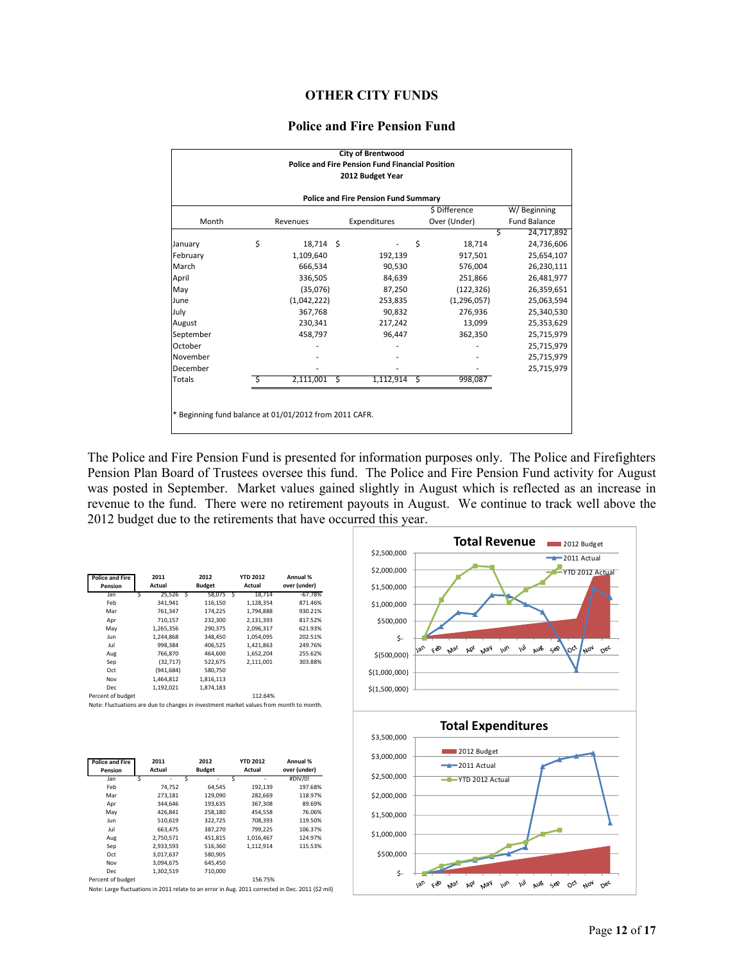#### **OTHER CITY FUNDS**

#### **Police and Fire Pension Fund**

|                                                        |    |             |              | <b>City of Brentwood</b>                                                   |                |               |                     |  |
|--------------------------------------------------------|----|-------------|--------------|----------------------------------------------------------------------------|----------------|---------------|---------------------|--|
|                                                        |    |             |              | <b>Police and Fire Pension Fund Financial Position</b><br>2012 Budget Year |                |               |                     |  |
|                                                        |    |             |              |                                                                            |                |               |                     |  |
|                                                        |    |             |              | <b>Police and Fire Pension Fund Summary</b>                                |                |               |                     |  |
|                                                        |    |             |              |                                                                            |                | \$ Difference | W/Beginning         |  |
| Month                                                  |    | Revenues    | Expenditures |                                                                            |                | Over (Under)  | <b>Fund Balance</b> |  |
|                                                        |    |             |              |                                                                            |                | S             | 24,717,892          |  |
| January                                                | \$ | 18,714 \$   |              |                                                                            | \$             | 18,714        | 24,736,606          |  |
| February                                               |    | 1,109,640   |              | 192,139                                                                    |                | 917,501       | 25,654,107          |  |
| March                                                  |    | 666,534     |              | 90,530                                                                     |                | 576,004       | 26,230,111          |  |
| April                                                  |    | 336,505     |              | 84,639                                                                     |                | 251,866       | 26,481,977          |  |
| May                                                    |    | (35,076)    |              | 87,250                                                                     |                | (122, 326)    | 26,359,651          |  |
| June                                                   |    | (1,042,222) |              | 253,835                                                                    |                | (1, 296, 057) | 25,063,594          |  |
| July                                                   |    | 367,768     |              | 90,832                                                                     |                | 276,936       | 25,340,530          |  |
| August                                                 |    | 230,341     |              | 217,242                                                                    |                | 13,099        | 25,353,629          |  |
| September                                              |    | 458,797     |              | 96,447                                                                     |                | 362,350       | 25,715,979          |  |
| October                                                |    |             |              |                                                                            |                |               | 25,715,979          |  |
| November                                               |    |             |              |                                                                            |                |               | 25,715,979          |  |
| December                                               |    |             |              |                                                                            |                |               | 25,715,979          |  |
| Totals                                                 | S  | 2,111,001   | S            | 1,112,914                                                                  | $\ddot{\zeta}$ | 998,087       |                     |  |
|                                                        |    |             |              |                                                                            |                |               |                     |  |
|                                                        |    |             |              |                                                                            |                |               |                     |  |
| * Beginning fund balance at 01/01/2012 from 2011 CAFR. |    |             |              |                                                                            |                |               |                     |  |
|                                                        |    |             |              |                                                                            |                |               |                     |  |

The Police and Fire Pension Fund is presented for information purposes only. The Police and Firefighters Pension Plan Board of Trustees oversee this fund. The Police and Fire Pension Fund activity for August was posted in September. Market values gained slightly in August which is reflected as an increase in revenue to the fund. There were no retirement payouts in August. We continue to track well above the 2012 budget due to the retirements that have occurred this year.

| <b>Police and Fire</b><br>Pension |   | 2011<br>Actual |   | 2012<br><b>Budget</b> |   | <b>YTD 2012</b><br>Actual | Annual %<br>over (under) |
|-----------------------------------|---|----------------|---|-----------------------|---|---------------------------|--------------------------|
| Jan                               | Ś | 25.526         | Ś | 58.075                | Ś | 18.714                    | $-67.78%$                |
| Feb                               |   | 341.941        |   | 116,150               |   | 1.128.354                 | 871.46%                  |
| Mar                               |   | 761.347        |   | 174.225               |   | 1.794.888                 | 930.21%                  |
| Apr                               |   | 710,157        |   | 232,300               |   | 2,131,393                 | 817.52%                  |
| May                               |   | 1.265.356      |   | 290.375               |   | 2.096.317                 | 621.93%                  |
| Jun                               |   | 1.244.868      |   | 348,450               |   | 1.054.095                 | 202.51%                  |
| Jul                               |   | 998.384        |   | 406.525               |   | 1.421.863                 | 249.76%                  |
| Aug                               |   | 766.870        |   | 464.600               |   | 1.652.204                 | 255.62%                  |
| Sep                               |   | (32.717)       |   | 522,675               |   | 2,111,001                 | 303.88%                  |
| Oct                               |   | (941, 684)     |   | 580,750               |   |                           |                          |
| Nov                               |   | 1.464.812      |   | 1.816.113             |   |                           |                          |
| Dec                               |   | 1.192.021      |   | 1.874.183             |   |                           |                          |
| Percent of budget                 |   |                |   |                       |   | 112.64%                   |                          |

Note: Fluctuations are due to changes in investment market values from month to month.

| <b>Police and Fire</b><br>Pension | 2011<br>Actual | 2012<br><b>Budget</b> | <b>YTD 2012</b><br>Actual | Annual %<br>over (under) |
|-----------------------------------|----------------|-----------------------|---------------------------|--------------------------|
| Jan                               | Ś<br>۰         | Ś                     | Ś<br>۰                    | #DIV/0!                  |
| Feb                               | 74.752         | 64.545                | 192,139                   | 197.68%                  |
| Mar                               | 273.181        | 129.090               | 282.669                   | 118.97%                  |
| Apr                               | 344.646        | 193,635               | 367,308                   | 89.69%                   |
| May                               | 426.841        | 258,180               | 454,558                   | 76.06%                   |
| Jun                               | 510.619        | 322.725               | 708.393                   | 119.50%                  |
| Jul                               | 663.475        | 387.270               | 799.225                   | 106.37%                  |
| Aug                               | 2,750,571      | 451.815               | 1.016.467                 | 124.97%                  |
| Sep                               | 2,933,593      | 516,360               | 1.112.914                 | 115.53%                  |
| Oct                               | 3.017.637      | 580.905               |                           |                          |
| Nov                               | 3.094.675      | 645,450               |                           |                          |
| Dec.                              | 1.302.519      | 710.000               |                           |                          |
| Percent of budget                 |                |                       | 156.75%                   |                          |

Note: Large fluctuations in 2011 relate to an error in Aug. 2011 corrected in Dec. 2011 (\$2 mil)

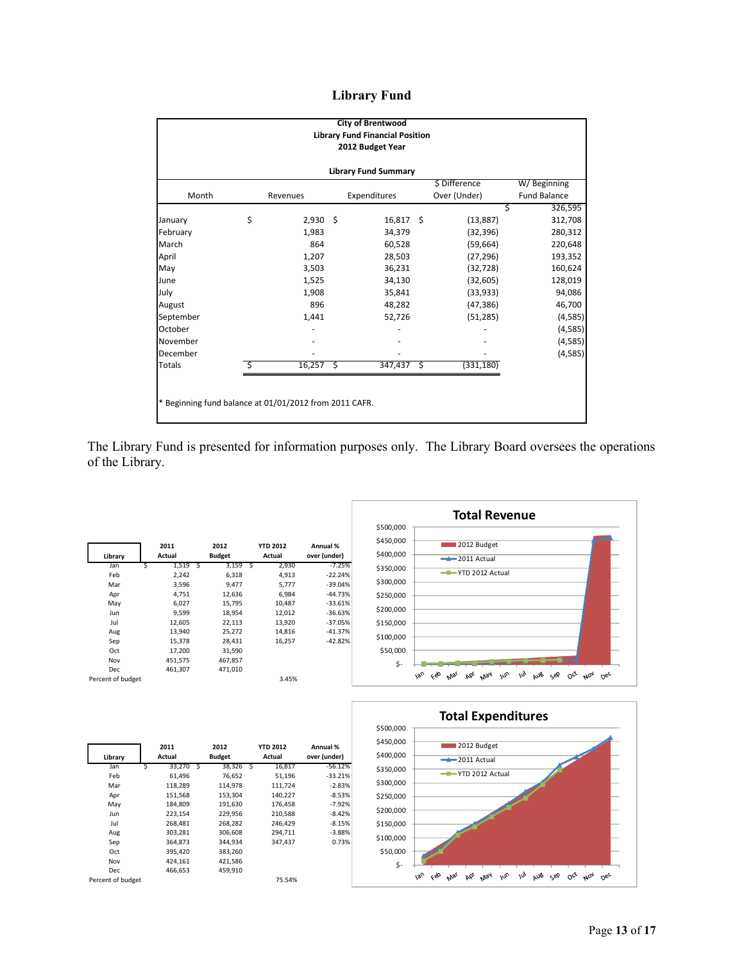# **Library Fund**

|                                                        |    |            |   | <b>City of Brentwood</b><br><b>Library Fund Financial Position</b><br>2012 Budget Year |   |               |                     |
|--------------------------------------------------------|----|------------|---|----------------------------------------------------------------------------------------|---|---------------|---------------------|
| <b>Library Fund Summary</b>                            |    |            |   |                                                                                        |   |               |                     |
|                                                        |    |            |   |                                                                                        |   | \$ Difference | W/Beginning         |
| Month                                                  |    | Revenues   |   | Expenditures                                                                           |   | Over (Under)  | <b>Fund Balance</b> |
|                                                        |    |            |   |                                                                                        |   |               | 326,595<br>Ś        |
| January                                                | \$ | $2,930$ \$ |   | $16,817$ \$                                                                            |   | (13, 887)     | 312,708             |
| February                                               |    | 1,983      |   | 34,379                                                                                 |   | (32, 396)     | 280,312             |
| March                                                  |    | 864        |   | 60,528                                                                                 |   | (59, 664)     | 220,648             |
| April                                                  |    | 1,207      |   | 28,503                                                                                 |   | (27, 296)     | 193,352             |
| May                                                    |    | 3,503      |   | 36,231                                                                                 |   | (32, 728)     | 160,624             |
| June                                                   |    | 1,525      |   | 34,130                                                                                 |   | (32, 605)     | 128,019             |
| July                                                   |    | 1,908      |   | 35,841                                                                                 |   | (33,933)      | 94,086              |
| August                                                 |    | 896        |   | 48,282                                                                                 |   | (47, 386)     | 46,700              |
| September                                              |    | 1,441      |   | 52,726                                                                                 |   | (51, 285)     | (4, 585)            |
| October                                                |    |            |   |                                                                                        |   |               | (4, 585)            |
| November                                               |    |            |   |                                                                                        |   |               | (4, 585)            |
| December                                               |    |            |   |                                                                                        |   |               | (4, 585)            |
| <b>Totals</b>                                          |    | 16,257     | Ŝ | 347,437                                                                                | Ŝ | (331, 180)    |                     |
|                                                        |    |            |   |                                                                                        |   |               |                     |
|                                                        |    |            |   |                                                                                        |   |               |                     |
| * Beginning fund balance at 01/01/2012 from 2011 CAFR. |    |            |   |                                                                                        |   |               |                     |
|                                                        |    |            |   |                                                                                        |   |               |                     |

The Library Fund is presented for information purposes only. The Library Board oversees the operations of the Library.

| Library           |   | 2011<br>Actual |   | 2012<br><b>Budget</b> |   | <b>YTD 2012</b><br>Actual | Annual %<br>over (under) |
|-------------------|---|----------------|---|-----------------------|---|---------------------------|--------------------------|
| Jan               | Ś | 1,519          | S | 3,159                 | Ś | 2,930                     | $-7.25%$                 |
| Feb               |   | 2.242          |   | 6,318                 |   | 4,913                     | $-22.24%$                |
| Mar               |   | 3,596          |   | 9,477                 |   | 5,777                     | $-39.04%$                |
| Apr               |   | 4,751          |   | 12,636                |   | 6,984                     | $-44.73%$                |
| May               |   | 6,027          |   | 15,795                |   | 10,487                    | $-33.61%$                |
| Jun               |   | 9,599          |   | 18,954                |   | 12,012                    | $-36.63%$                |
| Jul               |   | 12,605         |   | 22,113                |   | 13,920                    | $-37.05%$                |
| Aug               |   | 13,940         |   | 25,272                |   | 14,816                    | $-41.37%$                |
| Sep               |   | 15,378         |   | 28,431                |   | 16,257                    | $-42.82%$                |
| Oct               |   | 17,200         |   | 31,590                |   |                           |                          |
| Nov               |   | 451,575        |   | 467,857               |   |                           |                          |
| Dec               |   | 461,307        |   | 471,010               |   |                           |                          |
| Percent of budget |   |                |   |                       |   | 3.45%                     |                          |





| Library           |   | 2011<br>Actual |   | 2012<br><b>Budget</b> |   | <b>YTD 2012</b><br>Actual | Annual %<br>over (under) |
|-------------------|---|----------------|---|-----------------------|---|---------------------------|--------------------------|
| Jan               | Ś | 33,270         | Ś | 38,326                | Ś | 16,817                    | $-56.12%$                |
| Feb               |   | 61,496         |   | 76.652                |   | 51,196                    | $-33.21%$                |
| Mar               |   | 118,289        |   | 114,978               |   | 111,724                   | $-2.83%$                 |
| Apr               |   | 151,568        |   | 153,304               |   | 140,227                   | $-8.53%$                 |
| May               |   | 184,809        |   | 191,630               |   | 176,458                   | $-7.92%$                 |
| Jun               |   | 223.154        |   | 229,956               |   | 210,588                   | $-8.42%$                 |
| Jul               |   | 268,481        |   | 268,282               |   | 246,429                   | $-8.15%$                 |
| Aug               |   | 303,281        |   | 306,608               |   | 294,711                   | $-3.88%$                 |
| Sep               |   | 364,873        |   | 344.934               |   | 347.437                   | 0.73%                    |
| Oct               |   | 395,420        |   | 383,260               |   |                           |                          |
| Nov               |   | 424,161        |   | 421,586               |   |                           |                          |
| Dec               |   | 466.653        |   | 459.910               |   |                           |                          |
| Percent of budget |   |                |   |                       |   | 75.54%                    |                          |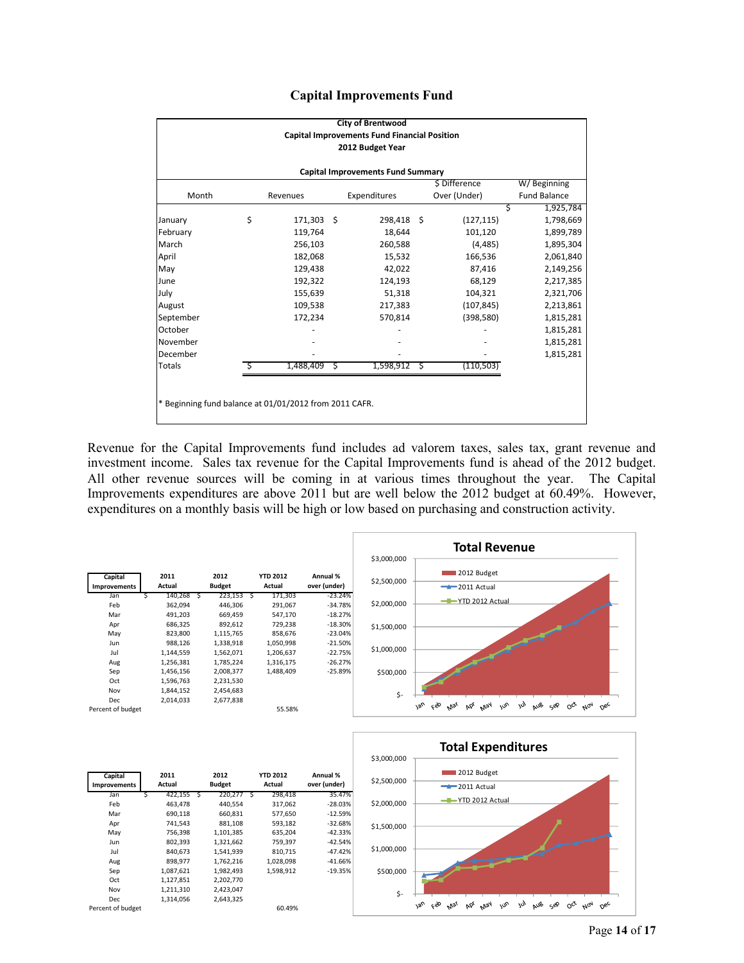|  | <b>Capital Improvements Fund</b> |  |
|--|----------------------------------|--|
|--|----------------------------------|--|

|                                                        |                                                                 |           |    | <b>City of Brentwood</b> |   |            |   |           |  |  |
|--------------------------------------------------------|-----------------------------------------------------------------|-----------|----|--------------------------|---|------------|---|-----------|--|--|
| <b>Capital Improvements Fund Financial Position</b>    |                                                                 |           |    |                          |   |            |   |           |  |  |
| 2012 Budget Year                                       |                                                                 |           |    |                          |   |            |   |           |  |  |
| <b>Capital Improvements Fund Summary</b>               |                                                                 |           |    |                          |   |            |   |           |  |  |
| \$ Difference<br>W/Beginning                           |                                                                 |           |    |                          |   |            |   |           |  |  |
| Month                                                  | Over (Under)<br>Expenditures<br><b>Fund Balance</b><br>Revenues |           |    |                          |   |            |   |           |  |  |
|                                                        |                                                                 |           |    |                          |   |            | Ś | 1,925,784 |  |  |
| January                                                | \$                                                              | 171,303   | -Ś | 298,418 \$               |   | (127, 115) |   | 1,798,669 |  |  |
| February                                               |                                                                 | 119,764   |    | 18,644                   |   | 101,120    |   | 1,899,789 |  |  |
| March                                                  |                                                                 | 256,103   |    | 260,588                  |   | (4, 485)   |   | 1,895,304 |  |  |
| April                                                  |                                                                 | 182,068   |    | 15,532                   |   | 166,536    |   | 2,061,840 |  |  |
| May                                                    |                                                                 | 129,438   |    | 42,022                   |   | 87,416     |   | 2,149,256 |  |  |
| June                                                   |                                                                 | 192,322   |    | 124,193                  |   | 68,129     |   | 2,217,385 |  |  |
| July                                                   |                                                                 | 155,639   |    | 51,318                   |   | 104,321    |   | 2,321,706 |  |  |
| August                                                 |                                                                 | 109,538   |    | 217,383                  |   | (107, 845) |   | 2,213,861 |  |  |
| September                                              |                                                                 | 172,234   |    | 570,814                  |   | (398, 580) |   | 1,815,281 |  |  |
| October                                                |                                                                 |           |    |                          |   |            |   | 1,815,281 |  |  |
| November                                               |                                                                 |           |    |                          |   |            |   | 1,815,281 |  |  |
| December                                               |                                                                 |           |    |                          |   |            |   | 1,815,281 |  |  |
| <b>Totals</b>                                          |                                                                 | 1,488,409 | S  | 1,598,912                | S | (110, 503) |   |           |  |  |
|                                                        |                                                                 |           |    |                          |   |            |   |           |  |  |
|                                                        |                                                                 |           |    |                          |   |            |   |           |  |  |
| * Beginning fund balance at 01/01/2012 from 2011 CAFR. |                                                                 |           |    |                          |   |            |   |           |  |  |
|                                                        |                                                                 |           |    |                          |   |            |   |           |  |  |

Revenue for the Capital Improvements fund includes ad valorem taxes, sales tax, grant revenue and investment income. Sales tax revenue for the Capital Improvements fund is ahead of the 2012 budget. All other revenue sources will be coming in at various times throughout the year. The Capital Improvements expenditures are above 2011 but are well below the 2012 budget at 60.49%. However, expenditures on a monthly basis will be high or low based on purchasing and construction activity.





| Capital             |        | 2011      |   | 2012          |   | <b>YTD 2012</b> | Annual %     |  |
|---------------------|--------|-----------|---|---------------|---|-----------------|--------------|--|
| <b>Improvements</b> | Actual |           |   | <b>Budget</b> |   | Actual          | over (under) |  |
| Jan                 | \$     | 422,155   | Ś | 220,277       | S | 298,418         | 35.47%       |  |
| Feb                 |        | 463,478   |   | 440.554       |   | 317,062         | $-28.03%$    |  |
| Mar                 |        | 690,118   |   | 660,831       |   | 577,650         | $-12.59%$    |  |
| Apr                 |        | 741,543   |   | 881,108       |   | 593,182         | $-32.68%$    |  |
| May                 |        | 756,398   |   | 1,101,385     |   | 635,204         | $-42.33%$    |  |
| Jun                 |        | 802,393   |   | 1,321,662     |   | 759,397         | $-42.54%$    |  |
| Jul                 |        | 840,673   |   | 1,541,939     |   | 810,715         | $-47.42%$    |  |
| Aug                 |        | 898,977   |   | 1,762,216     |   | 1,028,098       | $-41.66%$    |  |
| Sep                 |        | 1,087,621 |   | 1,982,493     |   | 1,598,912       | $-19.35%$    |  |
| Oct                 |        | 1,127,851 |   | 2,202,770     |   |                 |              |  |
| Nov                 |        | 1,211,310 |   | 2,423,047     |   |                 |              |  |
| Dec                 |        | 1,314,056 |   | 2,643,325     |   |                 |              |  |
| Percent of budget   |        |           |   |               |   | 60.49%          |              |  |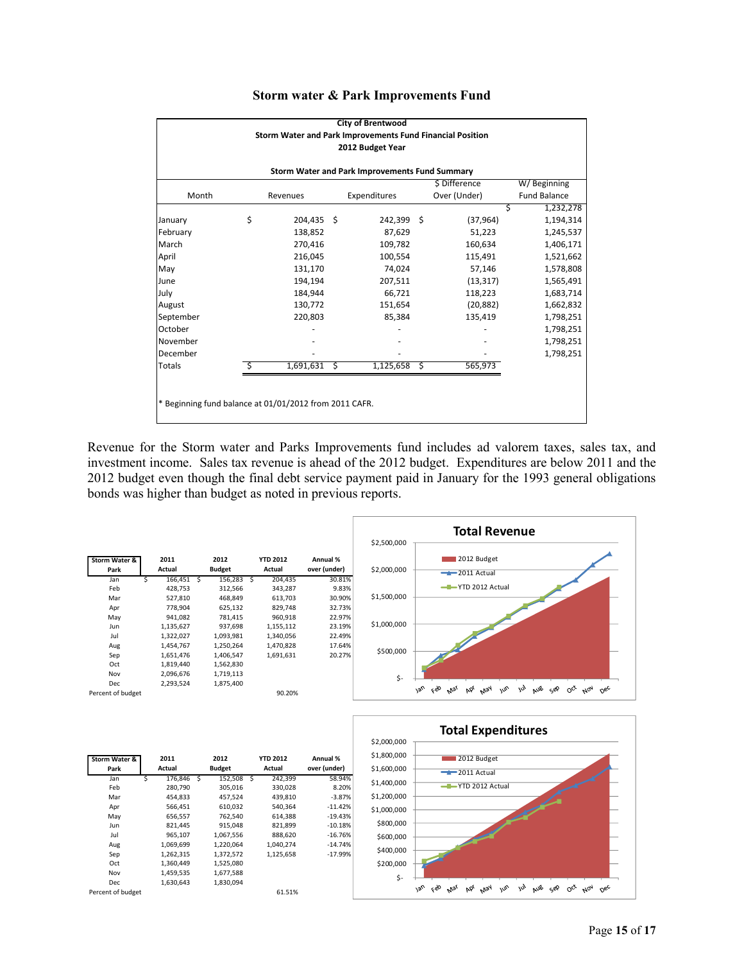| <b>City of Brentwood</b>                                  |    |            |   |              |   |              |                     |  |  |  |  |
|-----------------------------------------------------------|----|------------|---|--------------|---|--------------|---------------------|--|--|--|--|
| Storm Water and Park Improvements Fund Financial Position |    |            |   |              |   |              |                     |  |  |  |  |
| 2012 Budget Year                                          |    |            |   |              |   |              |                     |  |  |  |  |
|                                                           |    |            |   |              |   |              |                     |  |  |  |  |
| Storm Water and Park Improvements Fund Summary            |    |            |   |              |   |              |                     |  |  |  |  |
| \$ Difference<br>W/Beginning                              |    |            |   |              |   |              |                     |  |  |  |  |
| Month                                                     |    | Revenues   |   | Expenditures |   | Over (Under) | <b>Fund Balance</b> |  |  |  |  |
|                                                           |    |            |   |              |   |              | 1,232,278<br>Ś      |  |  |  |  |
| January                                                   | \$ | 204,435 \$ |   | 242,399 \$   |   | (37, 964)    | 1,194,314           |  |  |  |  |
| February                                                  |    | 138,852    |   | 87,629       |   | 51,223       | 1,245,537           |  |  |  |  |
| March                                                     |    | 270,416    |   | 109,782      |   | 160,634      | 1,406,171           |  |  |  |  |
| April                                                     |    | 216,045    |   | 100,554      |   | 115,491      | 1,521,662           |  |  |  |  |
| May                                                       |    | 131,170    |   | 74,024       |   | 57,146       | 1,578,808           |  |  |  |  |
| June                                                      |    | 194,194    |   | 207,511      |   | (13, 317)    | 1,565,491           |  |  |  |  |
| July                                                      |    | 184,944    |   | 66,721       |   | 118,223      | 1,683,714           |  |  |  |  |
| August                                                    |    | 130,772    |   | 151,654      |   | (20, 882)    | 1,662,832           |  |  |  |  |
| September                                                 |    | 220,803    |   | 85,384       |   | 135,419      | 1,798,251           |  |  |  |  |
| October                                                   |    |            |   |              |   |              | 1,798,251           |  |  |  |  |
| November                                                  |    |            |   |              |   |              | 1,798,251           |  |  |  |  |
| December                                                  |    |            |   |              |   |              | 1,798,251           |  |  |  |  |
| <b>Totals</b>                                             |    | 1,691,631  | Ś | 1,125,658    | Ś | 565,973      |                     |  |  |  |  |
|                                                           |    |            |   |              |   |              |                     |  |  |  |  |
|                                                           |    |            |   |              |   |              |                     |  |  |  |  |
| * Beginning fund balance at 01/01/2012 from 2011 CAFR.    |    |            |   |              |   |              |                     |  |  |  |  |
|                                                           |    |            |   |              |   |              |                     |  |  |  |  |

## **Storm water & Park Improvements Fund**

Revenue for the Storm water and Parks Improvements fund includes ad valorem taxes, sales tax, and investment income. Sales tax revenue is ahead of the 2012 budget. Expenditures are below 2011 and the 2012 budget even though the final debt service payment paid in January for the 1993 general obligations bonds was higher than budget as noted in previous reports.



| Storm Water &     |   | 2011      |   | 2012          |   | <b>YTD 2012</b> | Annual %     |
|-------------------|---|-----------|---|---------------|---|-----------------|--------------|
| Park              |   | Actual    |   | <b>Budget</b> |   | Actual          | over (under) |
| Jan               | Ś | 176.846   | S | 152,508       | Ś | 242,399         | 58.94%       |
| Feb               |   | 280,790   |   | 305,016       |   | 330,028         | 8.20%        |
| Mar               |   | 454.833   |   | 457,524       |   | 439,810         | $-3.87%$     |
| Apr               |   | 566,451   |   | 610,032       |   | 540.364         | $-11.42%$    |
| May               |   | 656,557   |   | 762,540       |   | 614,388         | $-19.43%$    |
| Jun               |   | 821,445   |   | 915,048       |   | 821,899         | $-10.18%$    |
| Jul               |   | 965,107   |   | 1,067,556     |   | 888,620         | $-16.76%$    |
| Aug               |   | 1,069,699 |   | 1,220,064     |   | 1.040.274       | $-14.74%$    |
| Sep               |   | 1,262,315 |   | 1,372,572     |   | 1,125,658       | $-17.99%$    |
| Oct               |   | 1,360,449 |   | 1,525,080     |   |                 |              |
| Nov               |   | 1,459,535 |   | 1,677,588     |   |                 |              |
| Dec               |   | 1.630.643 |   | 1,830,094     |   |                 |              |
| Percent of budget |   |           |   |               |   | 61.51%          |              |

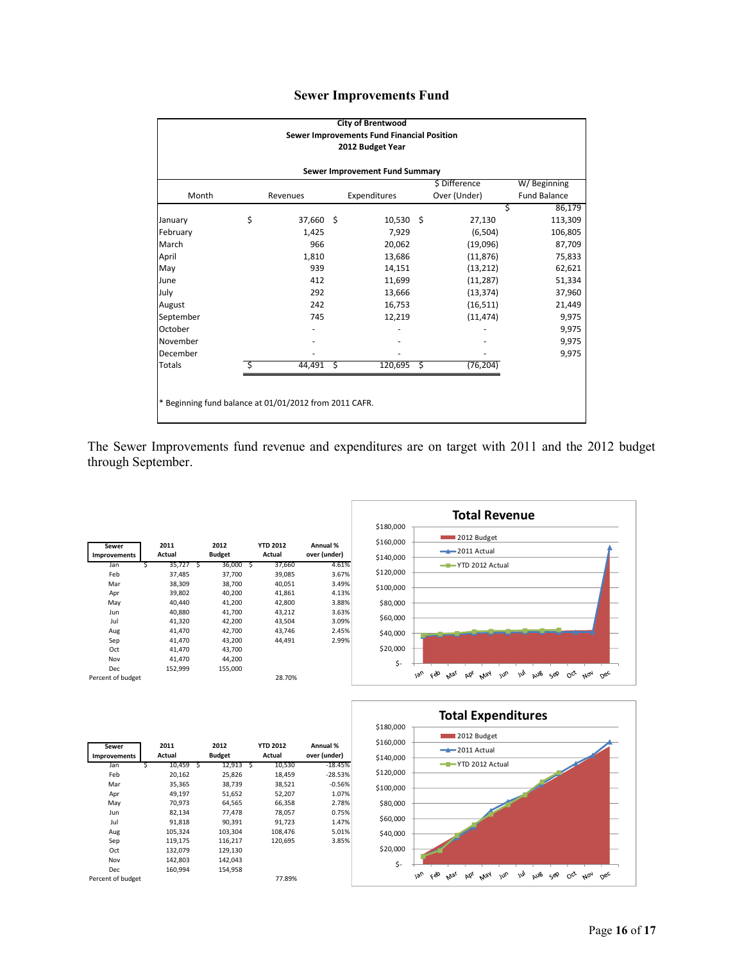|  | <b>Sewer Improvements Fund</b> |  |
|--|--------------------------------|--|
|--|--------------------------------|--|

| <b>City of Brentwood</b>                                                                         |    |           |   |             |    |           |         |  |  |                              |  |          |  |              |  |              |                     |  |  |
|--------------------------------------------------------------------------------------------------|----|-----------|---|-------------|----|-----------|---------|--|--|------------------------------|--|----------|--|--------------|--|--------------|---------------------|--|--|
| Sewer Improvements Fund Financial Position<br>2012 Budget Year<br>Sewer Improvement Fund Summary |    |           |   |             |    |           |         |  |  |                              |  |          |  |              |  |              |                     |  |  |
|                                                                                                  |    |           |   |             |    |           |         |  |  | \$ Difference<br>W/Beginning |  |          |  |              |  |              |                     |  |  |
|                                                                                                  |    |           |   |             |    |           |         |  |  | Month                        |  | Revenues |  | Expenditures |  | Over (Under) | <b>Fund Balance</b> |  |  |
|                                                                                                  |    |           |   |             |    | \$        | 86,179  |  |  |                              |  |          |  |              |  |              |                     |  |  |
| January                                                                                          | \$ | 37,660 \$ |   | $10,530$ \$ |    | 27,130    | 113,309 |  |  |                              |  |          |  |              |  |              |                     |  |  |
| February                                                                                         |    | 1,425     |   | 7,929       |    | (6,504)   | 106,805 |  |  |                              |  |          |  |              |  |              |                     |  |  |
| March                                                                                            |    | 966       |   | 20,062      |    | (19,096)  | 87,709  |  |  |                              |  |          |  |              |  |              |                     |  |  |
| April                                                                                            |    | 1,810     |   | 13,686      |    | (11, 876) | 75,833  |  |  |                              |  |          |  |              |  |              |                     |  |  |
| May                                                                                              |    | 939       |   | 14,151      |    | (13, 212) | 62,621  |  |  |                              |  |          |  |              |  |              |                     |  |  |
| June                                                                                             |    | 412       |   | 11,699      |    | (11, 287) | 51,334  |  |  |                              |  |          |  |              |  |              |                     |  |  |
| July                                                                                             |    | 292       |   | 13,666      |    | (13, 374) | 37,960  |  |  |                              |  |          |  |              |  |              |                     |  |  |
| August                                                                                           |    | 242       |   | 16,753      |    | (16, 511) | 21,449  |  |  |                              |  |          |  |              |  |              |                     |  |  |
| September                                                                                        |    | 745       |   | 12,219      |    | (11, 474) | 9,975   |  |  |                              |  |          |  |              |  |              |                     |  |  |
| October                                                                                          |    |           |   |             |    |           | 9,975   |  |  |                              |  |          |  |              |  |              |                     |  |  |
| November                                                                                         |    |           |   |             |    |           | 9,975   |  |  |                              |  |          |  |              |  |              |                     |  |  |
| December                                                                                         |    |           |   |             |    |           | 9,975   |  |  |                              |  |          |  |              |  |              |                     |  |  |
| <b>Totals</b>                                                                                    |    | 44,491    | S | 120,695     | \$ | (76, 204) |         |  |  |                              |  |          |  |              |  |              |                     |  |  |
|                                                                                                  |    |           |   |             |    |           |         |  |  |                              |  |          |  |              |  |              |                     |  |  |
|                                                                                                  |    |           |   |             |    |           |         |  |  |                              |  |          |  |              |  |              |                     |  |  |
| * Beginning fund balance at 01/01/2012 from 2011 CAFR.                                           |    |           |   |             |    |           |         |  |  |                              |  |          |  |              |  |              |                     |  |  |
|                                                                                                  |    |           |   |             |    |           |         |  |  |                              |  |          |  |              |  |              |                     |  |  |

The Sewer Improvements fund revenue and expenditures are on target with 2011 and the 2012 budget through September.

| Sewer               | 2011    |   | 2012          |   | <b>YTD 2012</b> | Annual %     |
|---------------------|---------|---|---------------|---|-----------------|--------------|
| <b>Improvements</b> | Actual  |   | <b>Budget</b> |   | Actual          | over (under) |
| Jan                 | 35,727  | Ś | 36,000        | S | 37,660          | 4.61%        |
| Feb                 | 37,485  |   | 37,700        |   | 39,085          | 3.67%        |
| Mar                 | 38,309  |   | 38,700        |   | 40,051          | 3.49%        |
| Apr                 | 39,802  |   | 40,200        |   | 41,861          | 4.13%        |
| May                 | 40,440  |   | 41,200        |   | 42,800          | 3.88%        |
| Jun                 | 40.880  |   | 41,700        |   | 43,212          | 3.63%        |
| Jul                 | 41,320  |   | 42,200        |   | 43,504          | 3.09%        |
| Aug                 | 41,470  |   | 42,700        |   | 43,746          | 2.45%        |
| Sep                 | 41,470  |   | 43,200        |   | 44,491          | 2.99%        |
| Oct                 | 41,470  |   | 43,700        |   |                 |              |
| Nov                 | 41,470  |   | 44,200        |   |                 |              |
| Dec                 | 152,999 |   | 155,000       |   |                 |              |
| Percent of budget   |         |   |               |   | 28.70%          |              |





| Sewer<br><b>Improvements</b> | 2011<br>Actual |   | 2012<br><b>Budget</b> |    | <b>YTD 2012</b><br>Actual | Annual %<br>over (under) |
|------------------------------|----------------|---|-----------------------|----|---------------------------|--------------------------|
| Jan                          | 10,459         | S | 12.913                | -S | 10,530                    | $-18.45%$                |
| Feb                          | 20.162         |   | 25.826                |    | 18.459                    | $-28.53%$                |
| Mar                          | 35,365         |   | 38,739                |    | 38,521                    | $-0.56%$                 |
| Apr                          | 49,197         |   | 51,652                |    | 52,207                    | 1.07%                    |
| May                          | 70,973         |   | 64,565                |    | 66,358                    | 2.78%                    |
| Jun                          | 82.134         |   | 77.478                |    | 78,057                    | 0.75%                    |
| Jul                          | 91,818         |   | 90.391                |    | 91.723                    | 1.47%                    |
| Aug                          | 105,324        |   | 103,304               |    | 108,476                   | 5.01%                    |
| Sep                          | 119,175        |   | 116,217               |    | 120.695                   | 3.85%                    |
| Oct                          | 132,079        |   | 129,130               |    |                           |                          |
| Nov                          | 142,803        |   | 142,043               |    |                           |                          |
| Dec                          | 160,994        |   | 154,958               |    |                           |                          |
| Percent of budget            |                |   |                       |    | 77.89%                    |                          |